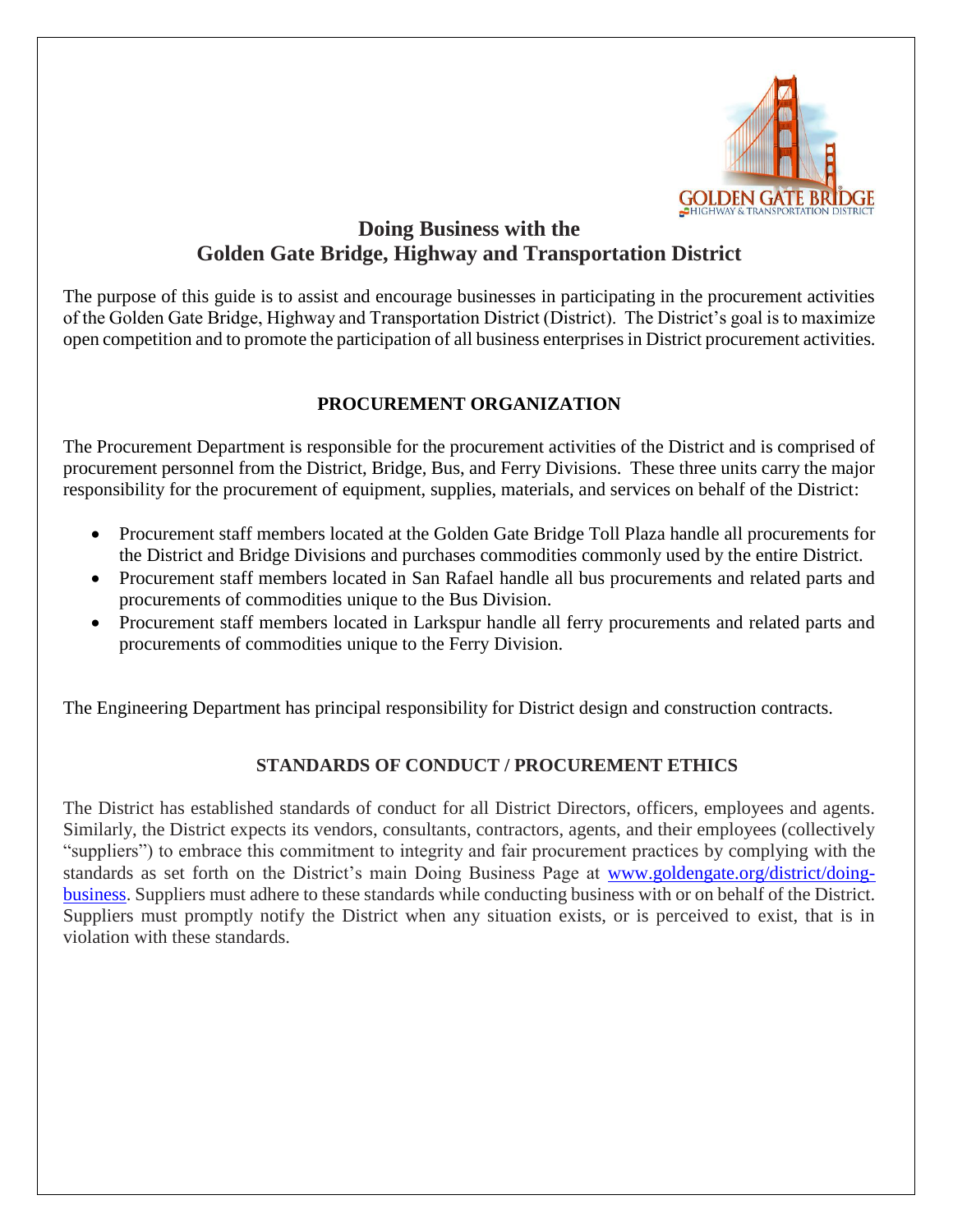

# **Doing Business with the Golden Gate Bridge, Highway and Transportation District**

The purpose of this guide is to assist and encourage businesses in participating in the procurement activities of the Golden Gate Bridge, Highway and Transportation District (District). The District's goal is to maximize open competition and to promote the participation of all business enterprises in District procurement activities.

## **PROCUREMENT ORGANIZATION**

The Procurement Department is responsible for the procurement activities of the District and is comprised of procurement personnel from the District, Bridge, Bus, and Ferry Divisions. These three units carry the major responsibility for the procurement of equipment, supplies, materials, and services on behalf of the District:

- Procurement staff members located at the Golden Gate Bridge Toll Plaza handle all procurements for the District and Bridge Divisions and purchases commodities commonly used by the entire District.
- Procurement staff members located in San Rafael handle all bus procurements and related parts and procurements of commodities unique to the Bus Division.
- Procurement staff members located in Larkspur handle all ferry procurements and related parts and procurements of commodities unique to the Ferry Division.

The Engineering Department has principal responsibility for District design and construction contracts.

## **STANDARDS OF CONDUCT / PROCUREMENT ETHICS**

The District has established standards of conduct for all District Directors, officers, employees and agents. Similarly, the District expects its vendors, consultants, contractors, agents, and their employees (collectively "suppliers") to embrace this commitment to integrity and fair procurement practices by complying with the standards as set forth on the District's main Doing Business Page at [www.goldengate.org/district/doing](http://www.goldengate.org/district/doing-business)[business.](http://www.goldengate.org/district/doing-business) Suppliers must adhere to these standards while conducting business with or on behalf of the District. Suppliers must promptly notify the District when any situation exists, or is perceived to exist, that is in violation with these standards.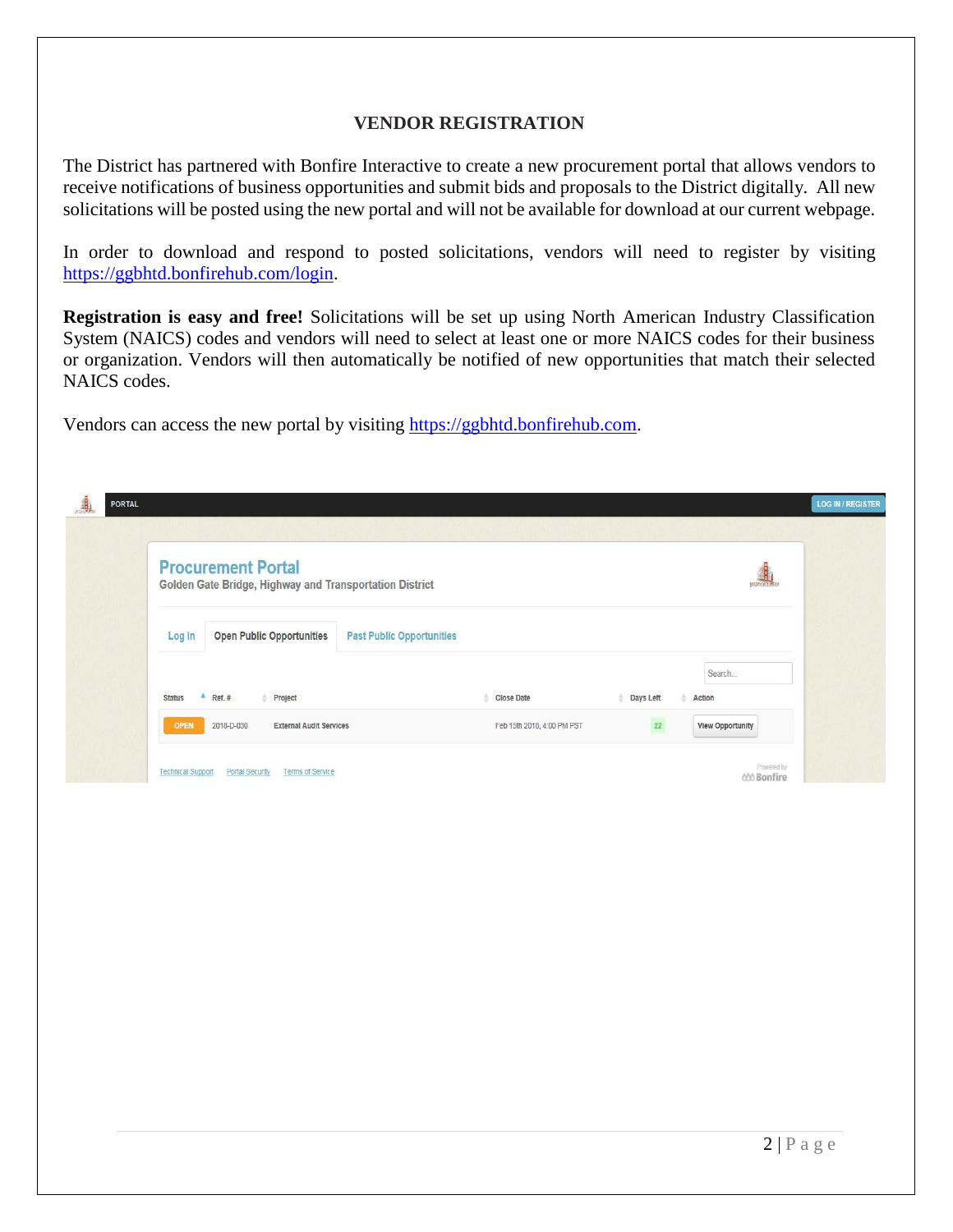#### **VENDOR REGISTRATION**

The District has partnered with Bonfire Interactive to create a new procurement portal that allows vendors to receive notifications of business opportunities and submit bids and proposals to the District digitally. All new solicitations will be posted using the new portal and will not be available for download at our current webpage.

In order to download and respond to posted solicitations, vendors will need to register by visiting [https://ggbhtd.bonfirehub.com/login.](https://ggbhtd.bonfirehub.com/login)

**Registration is easy and free!** Solicitations will be set up using North American Industry Classification System (NAICS) codes and vendors will need to select at least one or more NAICS codes for their business or organization. Vendors will then automatically be notified of new opportunities that match their selected NAICS codes.

Vendors can access the new portal by visiting [https://ggbhtd.bonfirehub.com.](https://ggbhtd.bonfirehub.com/)

| <b>Procurement Portal</b><br>Golden Gate Bridge, Highway and Transportation District |                            |           |                         |
|--------------------------------------------------------------------------------------|----------------------------|-----------|-------------------------|
| <b>Open Public Opportunities</b><br><b>Past Public Opportunities</b><br>Log in       |                            |           |                         |
| <b>Status</b><br>Ref. #<br>Project                                                   | <b>Close Date</b>          | Days Left | Search<br>Action        |
| 2018-D-030<br><b>External Audit Services</b><br><b>OPEN</b>                          | Feb 15th 2018, 4:00 PM PST | 22        | <b>View Opportunity</b> |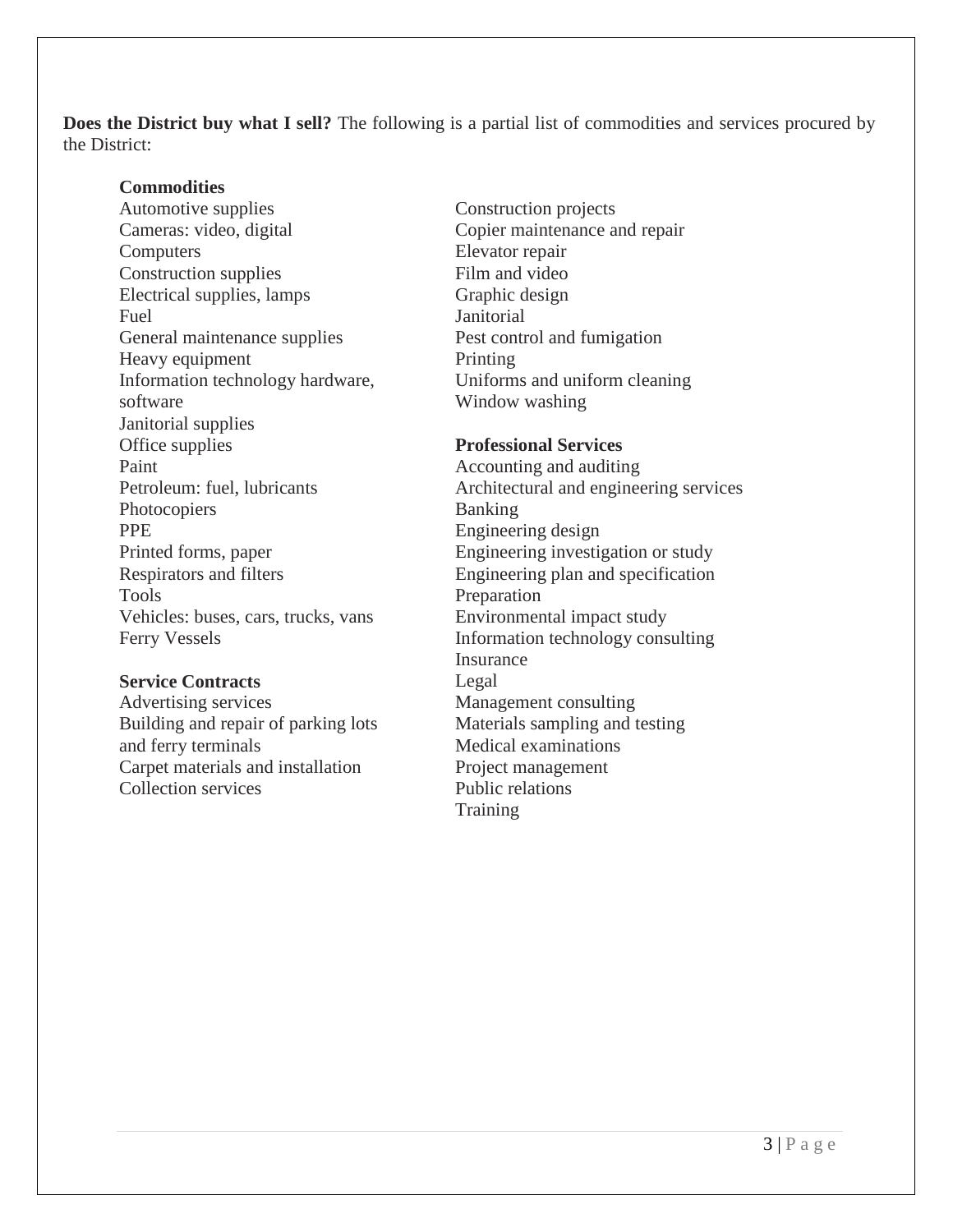**Does the District buy what I sell?** The following is a partial list of commodities and services procured by the District:

#### **Commodities**

Automotive supplies Cameras: video, digital **Computers** Construction supplies Electrical supplies, lamps Fuel General maintenance supplies Heavy equipment Information technology hardware, software Janitorial supplies Office supplies Paint Petroleum: fuel, lubricants Photocopiers PPE Printed forms, paper Respirators and filters Tools Vehicles: buses, cars, trucks, vans Ferry Vessels

#### **Service Contracts**

Advertising services Building and repair of parking lots and ferry terminals Carpet materials and installation Collection services

Construction projects Copier maintenance and repair Elevator repair Film and video Graphic design **Janitorial** Pest control and fumigation Printing Uniforms and uniform cleaning Window washing

#### **Professional Services**

Accounting and auditing Architectural and engineering services Banking Engineering design Engineering investigation or study Engineering plan and specification Preparation Environmental impact study Information technology consulting Insurance Legal Management consulting Materials sampling and testing Medical examinations Project management Public relations Training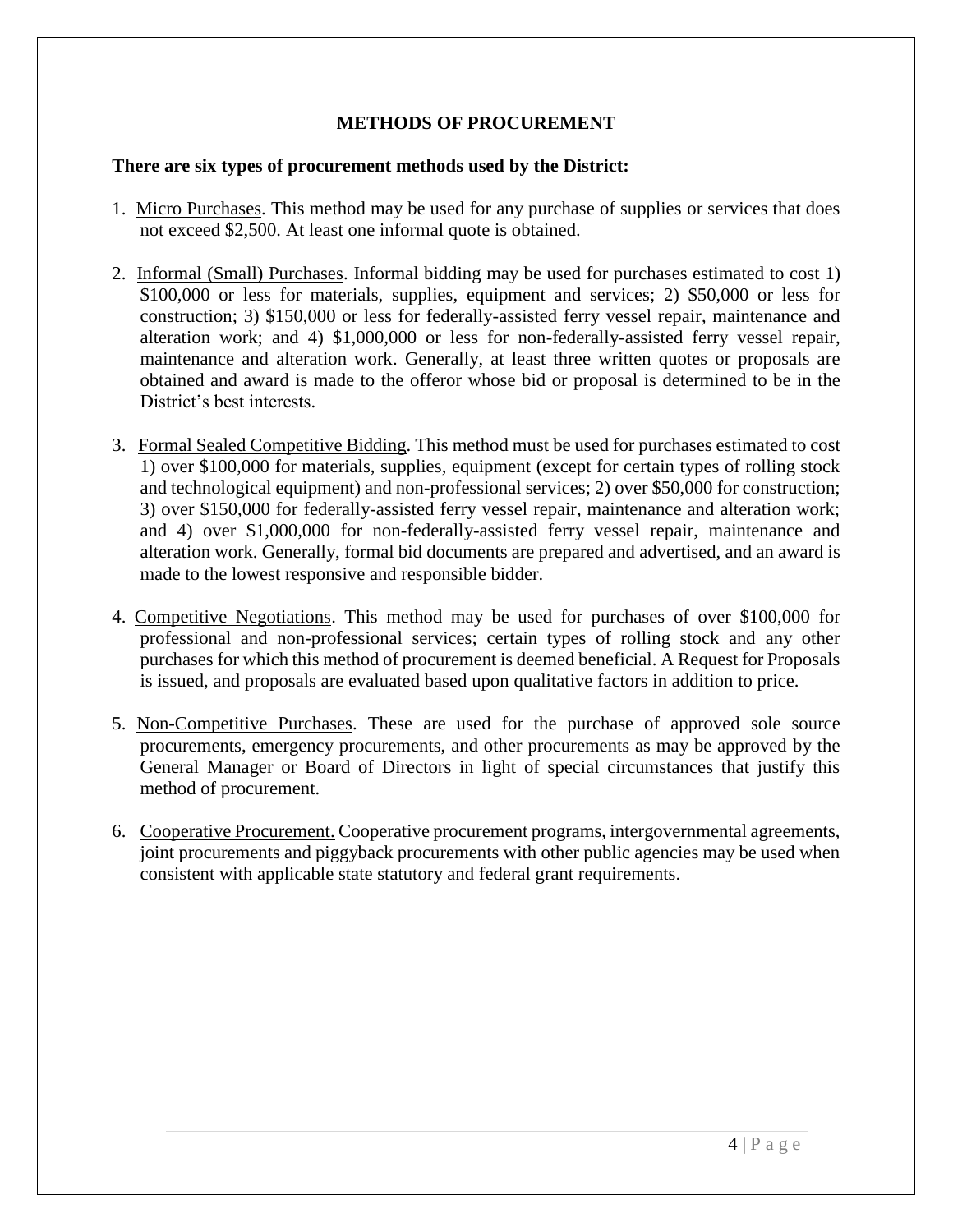## **METHODS OF PROCUREMENT**

#### **There are six types of procurement methods used by the District:**

- 1. Micro Purchases. This method may be used for any purchase of supplies or services that does not exceed \$2,500. At least one informal quote is obtained.
- 2. Informal (Small) Purchases. Informal bidding may be used for purchases estimated to cost 1) \$100,000 or less for materials, supplies, equipment and services; 2) \$50,000 or less for construction; 3) \$150,000 or less for federally-assisted ferry vessel repair, maintenance and alteration work; and 4) \$1,000,000 or less for non-federally-assisted ferry vessel repair, maintenance and alteration work. Generally, at least three written quotes or proposals are obtained and award is made to the offeror whose bid or proposal is determined to be in the District's best interests.
- 3. Formal Sealed Competitive Bidding. This method must be used for purchases estimated to cost 1) over \$100,000 for materials, supplies, equipment (except for certain types of rolling stock and technological equipment) and non-professional services; 2) over \$50,000 for construction; 3) over \$150,000 for federally-assisted ferry vessel repair, maintenance and alteration work; and 4) over \$1,000,000 for non-federally-assisted ferry vessel repair, maintenance and alteration work. Generally, formal bid documents are prepared and advertised, and an award is made to the lowest responsive and responsible bidder.
- 4. Competitive Negotiations. This method may be used for purchases of over \$100,000 for professional and non-professional services; certain types of rolling stock and any other purchases for which this method of procurement is deemed beneficial. A Request for Proposals is issued, and proposals are evaluated based upon qualitative factors in addition to price.
- 5. Non-Competitive Purchases. These are used for the purchase of approved sole source procurements, emergency procurements, and other procurements as may be approved by the General Manager or Board of Directors in light of special circumstances that justify this method of procurement.
- 6. Cooperative Procurement. Cooperative procurement programs, intergovernmental agreements, joint procurements and piggyback procurements with other public agencies may be used when consistent with applicable state statutory and federal grant requirements.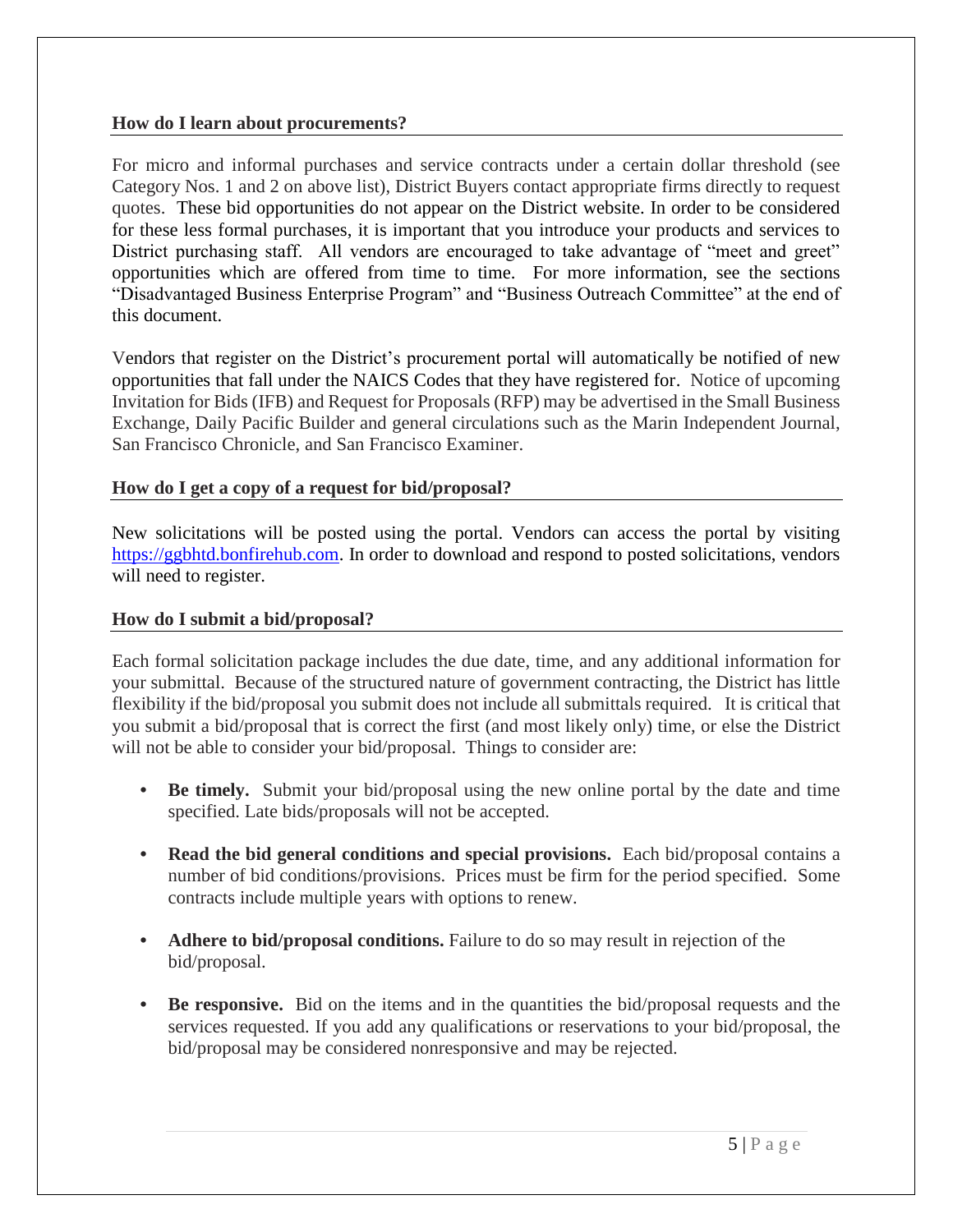#### **How do I learn about procurements?**

For micro and informal purchases and service contracts under a certain dollar threshold (see Category Nos. 1 and 2 on above list), District Buyers contact appropriate firms directly to request quotes. These bid opportunities do not appear on the District website. In order to be considered for these less formal purchases, it is important that you introduce your products and services to District purchasing staff. All vendors are encouraged to take advantage of "meet and greet" opportunities which are offered from time to time. For more information, see the sections "Disadvantaged Business Enterprise Program" and "Business Outreach Committee" at the end of this document.

Vendors that register on the District's procurement portal will automatically be notified of new opportunities that fall under the NAICS Codes that they have registered for. Notice of upcoming Invitation for Bids (IFB) and Request for Proposals (RFP) may be advertised in the Small Business Exchange, Daily Pacific Builder and general circulations such as the Marin Independent Journal, San Francisco Chronicle, and San Francisco Examiner.

## **How do I get a copy of a request for bid/proposal?**

New solicitations will be posted using the portal. Vendors can access the portal by visiting [https://ggbhtd.bonfirehub.com.](https://ggbhtd.bonfirehub.com/) In order to download and respond to posted solicitations, vendors will need to register.

## **How do I submit a bid/proposal?**

Each formal solicitation package includes the due date, time, and any additional information for your submittal. Because of the structured nature of government contracting, the District has little flexibility if the bid/proposal you submit does not include all submittals required. It is critical that you submit a bid/proposal that is correct the first (and most likely only) time, or else the District will not be able to consider your bid/proposal. Things to consider are:

- **Be timely.** Submit your bid/proposal using the new online portal by the date and time specified. Late bids/proposals will not be accepted.
- **Read the bid general conditions and special provisions.** Each bid/proposal contains a number of bid conditions/provisions. Prices must be firm for the period specified. Some contracts include multiple years with options to renew.
- **Adhere to bid/proposal conditions.** Failure to do so may result in rejection of the bid/proposal.
- **Be responsive.** Bid on the items and in the quantities the bid/proposal requests and the services requested. If you add any qualifications or reservations to your bid/proposal, the bid/proposal may be considered nonresponsive and may be rejected.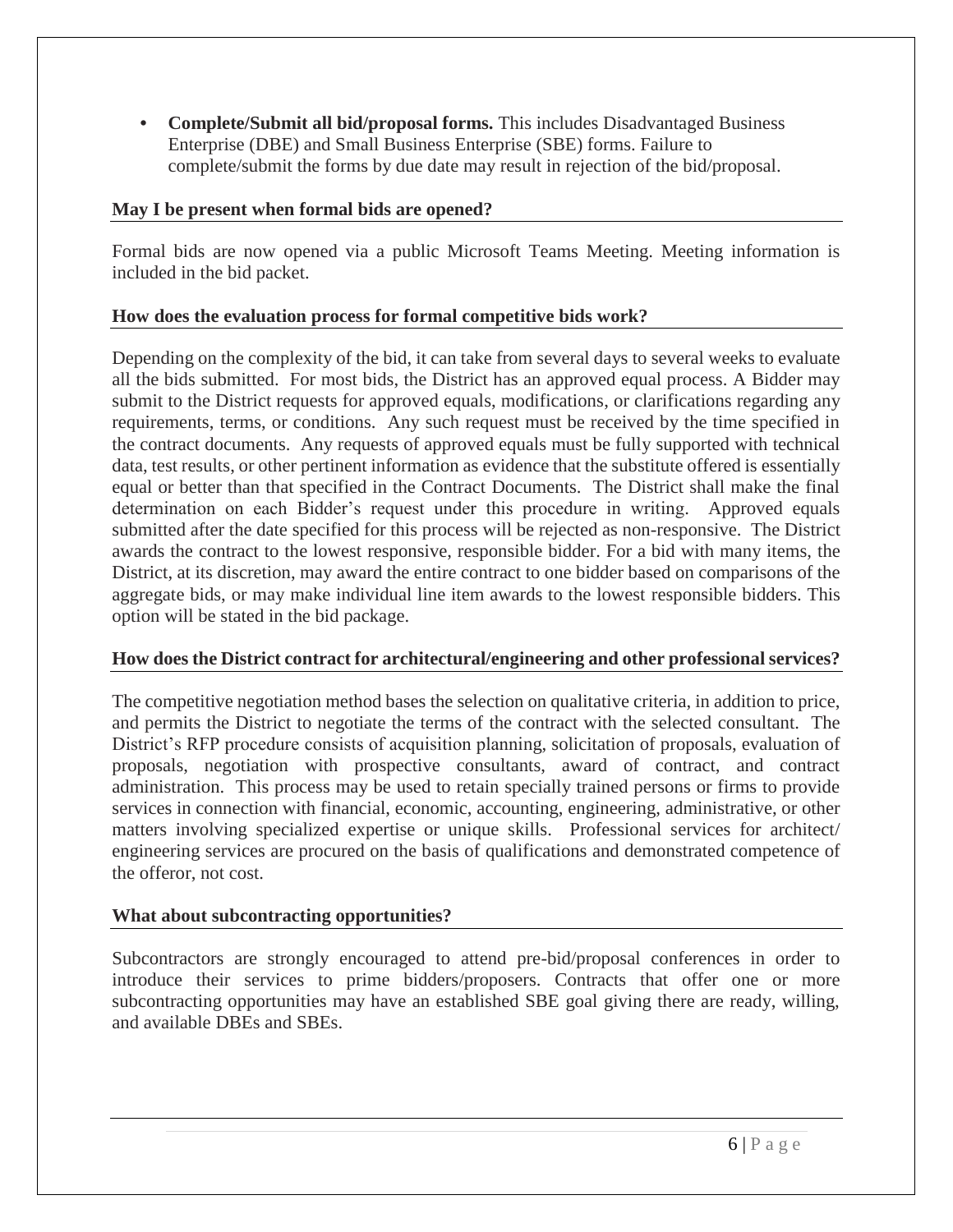**• Complete/Submit all bid/proposal forms.** This includes Disadvantaged Business Enterprise (DBE) and Small Business Enterprise (SBE) forms. Failure to complete/submit the forms by due date may result in rejection of the bid/proposal.

## **May I be present when formal bids are opened?**

Formal bids are now opened via a public Microsoft Teams Meeting. Meeting information is included in the bid packet.

## **How does the evaluation process for formal competitive bids work?**

Depending on the complexity of the bid, it can take from several days to several weeks to evaluate all the bids submitted. For most bids, the District has an approved equal process. A Bidder may submit to the District requests for approved equals, modifications, or clarifications regarding any requirements, terms, or conditions. Any such request must be received by the time specified in the contract documents. Any requests of approved equals must be fully supported with technical data, test results, or other pertinent information as evidence that the substitute offered is essentially equal or better than that specified in the Contract Documents. The District shall make the final determination on each Bidder's request under this procedure in writing. Approved equals submitted after the date specified for this process will be rejected as non-responsive. The District awards the contract to the lowest responsive, responsible bidder. For a bid with many items, the District, at its discretion, may award the entire contract to one bidder based on comparisons of the aggregate bids, or may make individual line item awards to the lowest responsible bidders. This option will be stated in the bid package.

## **How does the District contract for architectural/engineering and other professional services?**

The competitive negotiation method bases the selection on qualitative criteria, in addition to price, and permits the District to negotiate the terms of the contract with the selected consultant. The District's RFP procedure consists of acquisition planning, solicitation of proposals, evaluation of proposals, negotiation with prospective consultants, award of contract, and contract administration. This process may be used to retain specially trained persons or firms to provide services in connection with financial, economic, accounting, engineering, administrative, or other matters involving specialized expertise or unique skills. Professional services for architect/ engineering services are procured on the basis of qualifications and demonstrated competence of the offeror, not cost.

## **What about subcontracting opportunities?**

Subcontractors are strongly encouraged to attend pre-bid/proposal conferences in order to introduce their services to prime bidders/proposers. Contracts that offer one or more subcontracting opportunities may have an established SBE goal giving there are ready, willing, and available DBEs and SBEs.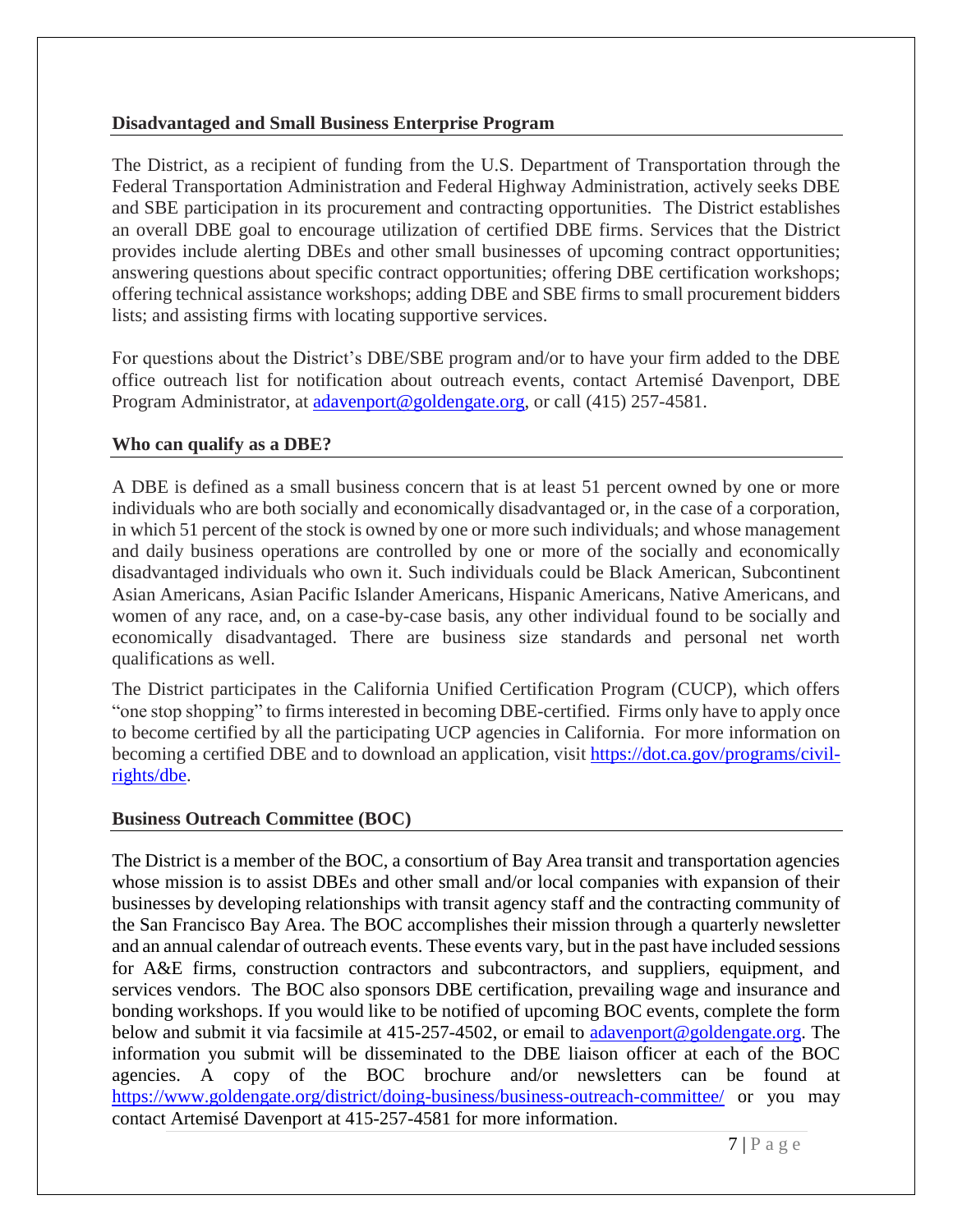#### **Disadvantaged and Small Business Enterprise Program**

The District, as a recipient of funding from the U.S. Department of Transportation through the Federal Transportation Administration and Federal Highway Administration, actively seeks DBE and SBE participation in its procurement and contracting opportunities. The District establishes an overall DBE goal to encourage utilization of certified DBE firms. Services that the District provides include alerting DBEs and other small businesses of upcoming contract opportunities; answering questions about specific contract opportunities; offering DBE certification workshops; offering technical assistance workshops; adding DBE and SBE firms to small procurement bidders lists; and assisting firms with locating supportive services.

For questions about the District's DBE/SBE program and/or to have your firm added to the DBE office outreach list for notification about outreach events, contact Artemisé Davenport, DBE Program Administrator, at [adavenport@goldengate.org,](mailto:adavenport@goldengate.org) or call (415) 257-4581.

#### **Who can qualify as a DBE?**

A DBE is defined as a small business concern that is at least 51 percent owned by one or more individuals who are both socially and economically disadvantaged or, in the case of a corporation, in which 51 percent of the stock is owned by one or more such individuals; and whose management and daily business operations are controlled by one or more of the socially and economically disadvantaged individuals who own it. Such individuals could be Black American, Subcontinent Asian Americans, Asian Pacific Islander Americans, Hispanic Americans, Native Americans, and women of any race, and, on a case-by-case basis, any other individual found to be socially and economically disadvantaged. There are business size standards and personal net worth qualifications as well.

The District participates in the California Unified Certification Program (CUCP), which offers "one stop shopping" to firms interested in becoming DBE-certified. Firms only have to apply once to become certified by all the participating UCP agencies in California. For more information on becoming a certified DBE and to download an application, visit [https://dot.ca.gov/programs/civil](https://dot.ca.gov/programs/civil-rights/dbe)[rights/dbe.](https://dot.ca.gov/programs/civil-rights/dbe)

#### **Business Outreach Committee (BOC)**

The District is a member of the BOC, a consortium of Bay Area transit and transportation agencies whose mission is to assist DBEs and other small and/or local companies with expansion of their businesses by developing relationships with transit agency staff and the contracting community of the San Francisco Bay Area. The BOC accomplishes their mission through a quarterly newsletter and an annual calendar of outreach events. These events vary, but in the past have included sessions for A&E firms, construction contractors and subcontractors, and suppliers, equipment, and services vendors. The BOC also sponsors DBE certification, prevailing wage and insurance and bonding workshops. If you would like to be notified of upcoming BOC events, complete the form below and submit it via facsimile at 415-257-4502, or email to [adavenport@goldengate.org.](mailto:adavenport@goldengate.org) The information you submit will be disseminated to the DBE liaison officer at each of the BOC agencies. A copy of the BOC brochure and/or newsletters can be found at <https://www.goldengate.org/district/doing-business/business-outreach-committee/> or you may contact Artemisé Davenport at 415-257-4581 for more information.